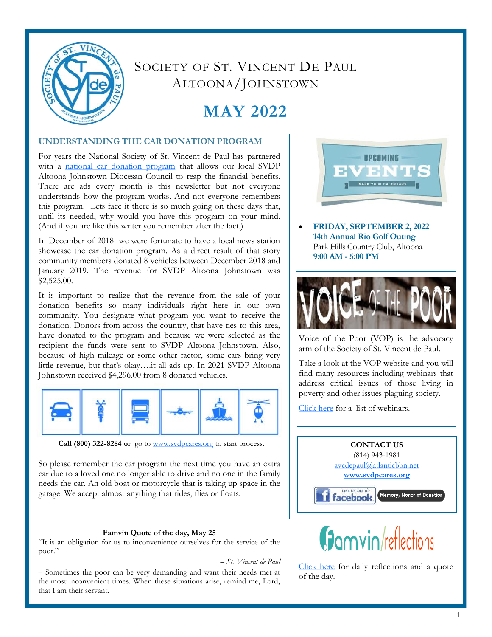

## SOCIETY OF ST. VINCENT DE PAUL ALTOONA/JOHNSTOWN

# **MAY 2022**

## **UNDERSTANDING THE CAR DONATION PROGRAM**

For years the National Society of St. Vincent de Paul has partnered with a [national car donation program](https://svdpcares.org/car-donation/) that allows our local SVDP Altoona Johnstown Diocesan Council to reap the financial benefits. There are ads every month is this newsletter but not everyone understands how the program works. And not everyone remembers this program. Lets face it there is so much going on these days that, until its needed, why would you have this program on your mind. (And if you are like this writer you remember after the fact.)

In December of 2018 we were fortunate to have a local news station showcase the car donation program. As a direct result of that story community members donated 8 vehicles between December 2018 and January 2019. The revenue for SVDP Altoona Johnstown was \$2,525.00.

It is important to realize that the revenue from the sale of your donation benefits so many individuals right here in our own community. You designate what program you want to receive the donation. Donors from across the country, that have ties to this area, have donated to the program and because we were selected as the recipient the funds were sent to SVDP Altoona Johnstown. Also, because of high mileage or some other factor, some cars bring very little revenue, but that's okay….it all ads up. In 2021 SVDP Altoona Johnstown received \$4,296.00 from 8 donated vehicles.



Call (800) 322-8284 or [go to](https://svdpcares.org/car-donation/) [www.svdpcares.org](https://svdpcares.org/thrift-stores/) to start process.

So please remember the car program the next time you have an extra car due to a loved one no longer able to drive and no one in the family needs the car. An old boat or motorcycle that is taking up space in the garage. We accept almost anything that rides, flies or floats.

## **Famvin Quote of the day, May 25**

"It is an obligation for us to inconvenience ourselves for the service of the poor."

*– St. Vincent de Paul*

– Sometimes the poor can be very demanding and want their needs met at the most inconvenient times. When these situations arise, remind me, Lord, that I am their servant.



 **FRIDAY, SEPTEMBER 2, 2022 14th Annual Rio Golf Outing** Park Hills Country Club, Altoona **9:00 AM - 5:00 PM**



Voice of the Poor (VOP) is the advocacy arm of the Society of St. Vincent de Paul.

Take a look at the VOP website and you will find many resources including webinars that address critical issues of those living in poverty and other issues plaguing society.

[Click here](https://members.ssvpusa.org/voice-of-the-poor/voice-of-the-poor-webinars/) for a list of webinars.





[Click here](https://famvin.org/reflections/category/daily-reflection/) for daily reflections and a quote of the day.